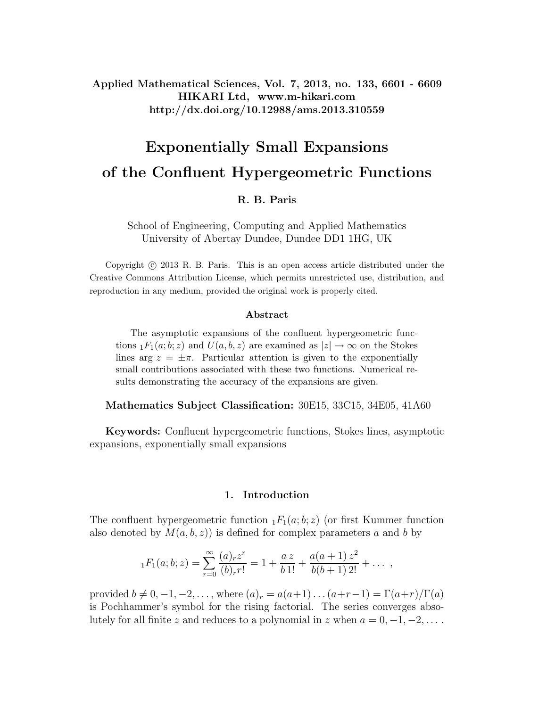**Applied Mathematical Sciences, Vol. 7, 2013, no. 133, 6601 - 6609 HIKARI Ltd, www.m-hikari.com http://dx.doi.org/10.12988/ams.2013.310559**

# **Exponentially Small Expansions of the Confluent Hypergeometric Functions**

## **R. B. Paris**

School of Engineering, Computing and Applied Mathematics University of Abertay Dundee, Dundee DD1 1HG, UK

Copyright  $\odot$  2013 R. B. Paris. This is an open access article distributed under the Creative Commons Attribution License, which permits unrestricted use, distribution, and reproduction in any medium, provided the original work is properly cited.

#### **Abstract**

The asymptotic expansions of the confluent hypergeometric functions  $_1F_1(a;b;z)$  and  $U(a,b,z)$  are examined as  $|z|\to\infty$  on the Stokes lines arg  $z = \pm \pi$ . Particular attention is given to the exponentially small contributions associated with these two functions. Numerical results demonstrating the accuracy of the expansions are given.

**Mathematics Subject Classification:** 30E15, 33C15, 34E05, 41A60

**Keywords:** Confluent hypergeometric functions, Stokes lines, asymptotic expansions, exponentially small expansions

## **1. Introduction**

The confluent hypergeometric function  $_1F_1(a;b;z)$  (or first Kummer function also denoted by  $M(a, b, z)$  is defined for complex parameters a and b by

$$
{}_1F_1(a;b;z) = \sum_{r=0}^{\infty} \frac{(a)_r z^r}{(b)_r r!} = 1 + \frac{az}{b \, 1!} + \frac{a(a+1) z^2}{b(b+1) \, 2!} + \dots
$$

provided  $b \neq 0, -1, -2, \ldots$ , where  $(a)_r = a(a+1) \ldots (a+r-1) = \Gamma(a+r)/\Gamma(a)$ is Pochhammer's symbol for the rising factorial. The series converges absolutely for all finite z and reduces to a polynomial in z when  $a = 0, -1, -2, \ldots$ .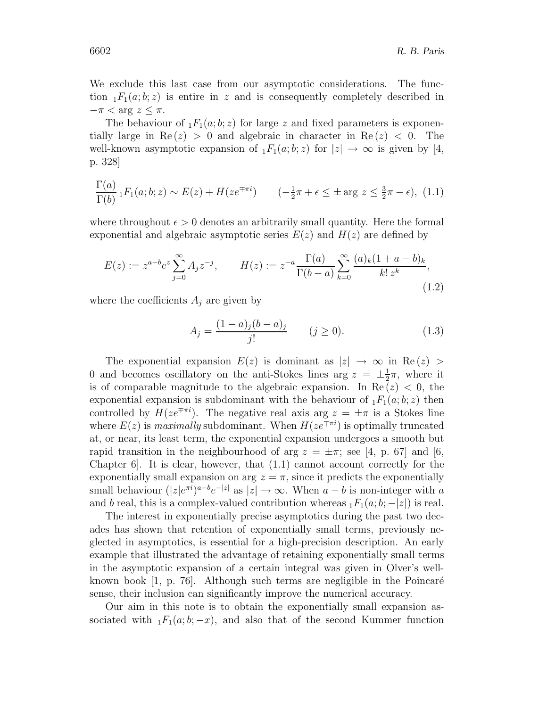We exclude this last case from our asymptotic considerations. The function  $_1F_1(a;b;z)$  is entire in z and is consequently completely described in  $-\pi < \arg z \leq \pi$ .

The behaviour of  $_1F_1(a;b;z)$  for large z and fixed parameters is exponentially large in  $\text{Re}(z) > 0$  and algebraic in character in  $\text{Re}(z) < 0$ . The well-known asymptotic expansion of  $_1F_1(a;b;z)$  for  $|z|\to\infty$  is given by [4, p. 328]

$$
\frac{\Gamma(a)}{\Gamma(b)} \, {}_1F_1(a;b;z) \sim E(z) + H(ze^{\mp \pi i}) \qquad \left(-\frac{1}{2}\pi + \epsilon \le \pm \arg z \le \frac{3}{2}\pi - \epsilon\right), \tag{1.1}
$$

where throughout  $\epsilon > 0$  denotes an arbitrarily small quantity. Here the formal exponential and algebraic asymptotic series  $E(z)$  and  $H(z)$  are defined by

$$
E(z) := z^{a-b} e^z \sum_{j=0}^{\infty} A_j z^{-j}, \qquad H(z) := z^{-a} \frac{\Gamma(a)}{\Gamma(b-a)} \sum_{k=0}^{\infty} \frac{(a)_k (1+a-b)_k}{k! z^k},
$$
\n(1.2)

where the coefficients  $A_i$  are given by

$$
A_j = \frac{(1-a)_j(b-a)_j}{j!} \qquad (j \ge 0). \tag{1.3}
$$

The exponential expansion  $E(z)$  is dominant as  $|z| \to \infty$  in Re(z) > 0 and becomes oscillatory on the anti-Stokes lines arg  $z = \pm \frac{1}{2}\pi$ , where it is of comparable magnitude to the algebraic expansion. In  $\text{Re}(z) < 0$ , the exponential expansion is subdominant with the behaviour of  $_1F_1(a; b; z)$  then controlled by  $H(ze^{\mp \pi i})$ . The negative real axis arg  $z = \pm \pi$  is a Stokes line where  $E(z)$  is maximally subdominant. When  $H(ze^{\pm \pi i})$  is optimally truncated at, or near, its least term, the exponential expansion undergoes a smooth but rapid transition in the neighbourhood of arg  $z = \pm \pi$ ; see [4, p. 67] and [6, Chapter  $6$ . It is clear, however, that  $(1.1)$  cannot account correctly for the exponentially small expansion on arg  $z = \pi$ , since it predicts the exponentially small behaviour  $(|z|e^{\pi i})^{a-b}e^{-|z|}$  as  $|z| \to \infty$ . When  $a-b$  is non-integer with a and b real, this is a complex-valued contribution whereas  $_1F_1(a;b;-|z|)$  is real.

The interest in exponentially precise asymptotics during the past two decades has shown that retention of exponentially small terms, previously neglected in asymptotics, is essential for a high-precision description. An early example that illustrated the advantage of retaining exponentially small terms in the asymptotic expansion of a certain integral was given in Olver's wellknown book  $[1, p. 76]$ . Although such terms are negligible in the Poincaré sense, their inclusion can significantly improve the numerical accuracy.

Our aim in this note is to obtain the exponentially small expansion associated with  $_1F_1(a;b;-x)$ , and also that of the second Kummer function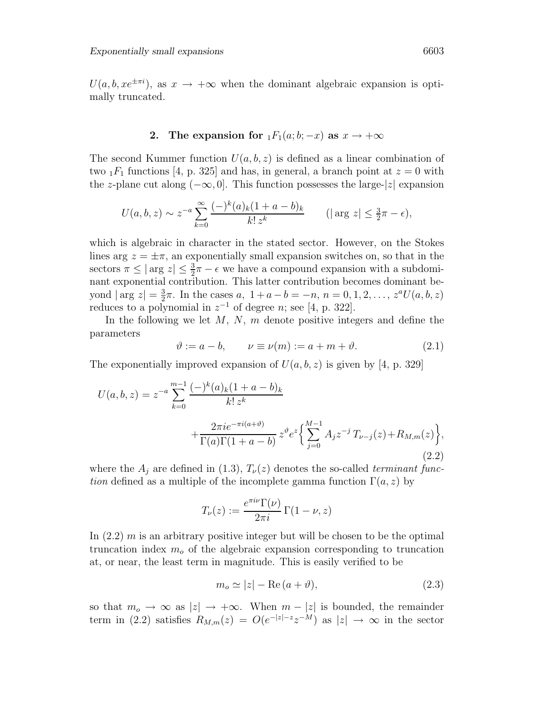$U(a, b, xe^{\pm \pi i})$ , as  $x \to +\infty$  when the dominant algebraic expansion is optimally truncated.

## **2.** The expansion for  $_1F_1(a; b; -x)$  as  $x \to +\infty$

The second Kummer function  $U(a, b, z)$  is defined as a linear combination of two  $_1F_1$  functions [4, p. 325] and has, in general, a branch point at  $z = 0$  with the z-plane cut along  $(-\infty, 0]$ . This function possesses the large- $|z|$  expansion

$$
U(a, b, z) \sim z^{-a} \sum_{k=0}^{\infty} \frac{(-)^k (a)_k (1 + a - b)_k}{k! \, z^k} \qquad (\vert \arg z \vert \le \frac{3}{2} \pi - \epsilon),
$$

which is algebraic in character in the stated sector. However, on the Stokes lines arg  $z = \pm \pi$ , an exponentially small expansion switches on, so that in the sectors  $\pi \leq |\arg z| \leq \frac{3}{2}\pi - \epsilon$  we have a compound expansion with a subdominant exponential contribution. This latter contribution becomes dominant beyond  $|\arg z| = \frac{3}{2}\pi$ . In the cases  $a, 1 + a - b = -n, n = 0, 1, 2, \ldots, z^a U(a, b, z)$ reduces to a polynomial in  $z^{-1}$  of degree n; see [4, p. 322].

In the following we let  $M$ ,  $N$ ,  $m$  denote positive integers and define the parameters

$$
\vartheta := a - b, \qquad \nu \equiv \nu(m) := a + m + \vartheta. \tag{2.1}
$$

The exponentially improved expansion of  $U(a, b, z)$  is given by [4, p. 329]

$$
U(a, b, z) = z^{-a} \sum_{k=0}^{m-1} \frac{(-)^k (a)_k (1 + a - b)_k}{k! z^k} + \frac{2\pi i e^{-\pi i (a + \vartheta)}}{\Gamma(a)\Gamma(1 + a - b)} z^{\vartheta} e^z \left\{ \sum_{j=0}^{M-1} A_j z^{-j} T_{\nu-j}(z) + R_{M,m}(z) \right\},\tag{2.2}
$$

where the  $A_j$  are defined in (1.3),  $T_{\nu}(z)$  denotes the so-called terminant function defined as a multiple of the incomplete gamma function  $\Gamma(a, z)$  by

$$
T_{\nu}(z) := \frac{e^{\pi i \nu} \Gamma(\nu)}{2\pi i} \Gamma(1 - \nu, z)
$$

In  $(2.2)$  m is an arbitrary positive integer but will be chosen to be the optimal truncation index  $m<sub>o</sub>$  of the algebraic expansion corresponding to truncation at, or near, the least term in magnitude. This is easily verified to be

$$
m_o \simeq |z| - \text{Re}\,(a + \vartheta),\tag{2.3}
$$

so that  $m_o \to \infty$  as  $|z| \to +\infty$ . When  $m - |z|$  is bounded, the remainder term in (2.2) satisfies  $R_{M,m}(z) = O(e^{-|z|-z}z^{-M})$  as  $|z| \to \infty$  in the sector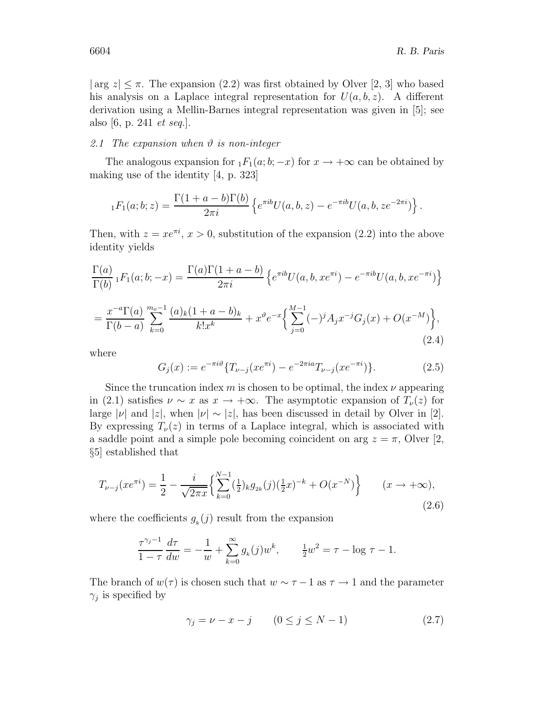$|\arg z| \leq \pi$ . The expansion (2.2) was first obtained by Olver [2, 3] who based his analysis on a Laplace integral representation for  $U(a, b, z)$ . A different derivation using a Mellin-Barnes integral representation was given in [5]; see also [6, p. 241 et seq.].

## 2.1 The expansion when  $\vartheta$  is non-integer

The analogous expansion for  $_1F_1(a; b; -x)$  for  $x \to +\infty$  can be obtained by making use of the identity [4, p. 323]

$$
{}_1F_1(a;b;z) = \frac{\Gamma(1+a-b)\Gamma(b)}{2\pi i} \left\{ e^{\pi ib}U(a,b,z) - e^{-\pi ib}U(a,b,ze^{-2\pi i}) \right\}.
$$

Then, with  $z = xe^{\pi i}$ ,  $x > 0$ , substitution of the expansion (2.2) into the above identity yields

$$
\frac{\Gamma(a)}{\Gamma(b)} {}_1F_1(a;b;-x) = \frac{\Gamma(a)\Gamma(1+a-b)}{2\pi i} \left\{ e^{\pi ib} U(a,b,x e^{\pi i}) - e^{-\pi ib} U(a,b,x e^{-\pi i}) \right\}
$$

$$
= \frac{x^{-a}\Gamma(a)}{\Gamma(b-a)} \sum_{k=0}^{m_0-1} \frac{(a)_k (1+a-b)_k}{k!x^k} + x^{\vartheta} e^{-x} \left\{ \sum_{j=0}^{M-1} (-)^j A_j x^{-j} G_j(x) + O(x^{-M}) \right\},\tag{2.4}
$$

where

$$
G_j(x) := e^{-\pi i \vartheta} \{ T_{\nu-j}(x e^{\pi i}) - e^{-2\pi i a} T_{\nu-j}(x e^{-\pi i}) \}.
$$
 (2.5)

Since the truncation index m is chosen to be optimal, the index  $\nu$  appearing in (2.1) satisfies  $\nu \sim x$  as  $x \to +\infty$ . The asymptotic expansion of  $T_{\nu}(z)$  for large |ν| and |z|, when  $|v| \sim |z|$ , has been discussed in detail by Olver in [2]. By expressing  $T_{\nu}(z)$  in terms of a Laplace integral, which is associated with a saddle point and a simple pole becoming coincident on arg  $z = \pi$ , Olver [2, §5] established that

$$
T_{\nu-j}(xe^{\pi i}) = \frac{1}{2} - \frac{i}{\sqrt{2\pi x}} \left\{ \sum_{k=0}^{N-1} \left(\frac{1}{2}\right)_{k} g_{2k}(j) \left(\frac{1}{2}x\right)^{-k} + O(x^{-N}) \right\} \qquad (x \to +\infty),\tag{2.6}
$$

where the coefficients  $g_k(j)$  result from the expansion

$$
\frac{\tau^{\gamma_j - 1}}{1 - \tau} \frac{d\tau}{dw} = -\frac{1}{w} + \sum_{k=0}^{\infty} g_k(j) w^k, \qquad \frac{1}{2}w^2 = \tau - \log \tau - 1.
$$

The branch of  $w(\tau)$  is chosen such that  $w \sim \tau - 1$  as  $\tau \to 1$  and the parameter  $\gamma_j$  is specified by

$$
\gamma_j = \nu - x - j \qquad (0 \le j \le N - 1) \tag{2.7}
$$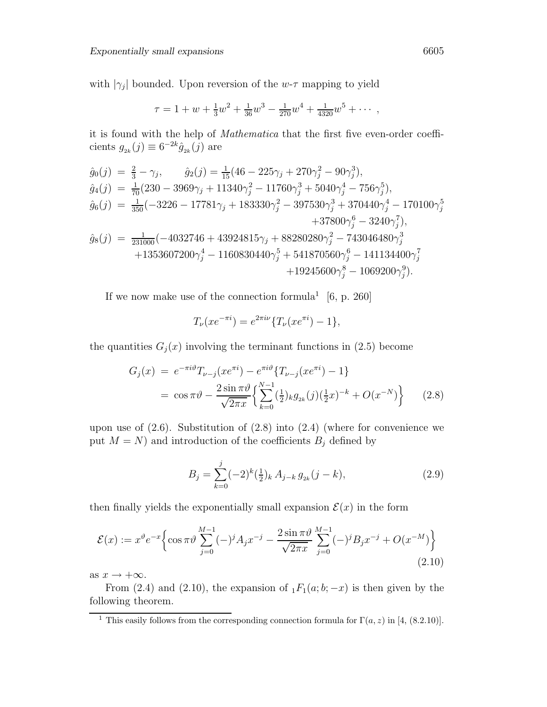with  $|\gamma_j|$  bounded. Upon reversion of the w- $\tau$  mapping to yield

$$
\tau = 1 + w + \frac{1}{3}w^2 + \frac{1}{36}w^3 - \frac{1}{270}w^4 + \frac{1}{4320}w^5 + \cdots,
$$

it is found with the help of Mathematica that the first five even-order coefficients  $g_{2k}(j) \equiv 6^{-2k} \hat{g}_{2k}(j)$  are

$$
\begin{aligned}\n\hat{g}_0(j) &= \frac{2}{3} - \gamma_j, & \hat{g}_2(j) &= \frac{1}{15} (46 - 225\gamma_j + 270\gamma_j^2 - 90\gamma_j^3), \\
\hat{g}_4(j) &= \frac{1}{70} (230 - 3969\gamma_j + 11340\gamma_j^2 - 11760\gamma_j^3 + 5040\gamma_j^4 - 756\gamma_j^5), \\
\hat{g}_6(j) &= \frac{1}{350} (-3226 - 17781\gamma_j + 183330\gamma_j^2 - 397530\gamma_j^3 + 370440\gamma_j^4 - 170100\gamma_j^5 \\
&\quad + 37800\gamma_j^6 - 3240\gamma_j^7), \\
\hat{g}_8(j) &= \frac{1}{231000} (-4032746 + 43924815\gamma_j + 88280280\gamma_j^2 - 743046480\gamma_j^3 \\
&\quad + 1353607200\gamma_j^4 - 1160830440\gamma_j^5 + 541870560\gamma_j^6 - 141134400\gamma_j^7 \\
&\quad + 19245600\gamma_j^8 - 1069200\gamma_j^9).\n\end{aligned}
$$

If we now make use of the connection formula<sup>1</sup> [6, p. 260]

$$
T_{\nu}(xe^{-\pi i}) = e^{2\pi i \nu} \{ T_{\nu}(xe^{\pi i}) - 1 \},
$$

the quantities  $G_j(x)$  involving the terminant functions in (2.5) become

$$
G_j(x) = e^{-\pi i \vartheta} T_{\nu-j}(xe^{\pi i}) - e^{\pi i \vartheta} \{ T_{\nu-j}(xe^{\pi i}) - 1 \}
$$
  
=  $\cos \pi \vartheta - \frac{2 \sin \pi \vartheta}{\sqrt{2\pi x}} \Biggl\{ \sum_{k=0}^{N-1} \left( \frac{1}{2} \right)_{k} g_{2k}(j) \left( \frac{1}{2} x \right)^{-k} + O(x^{-N}) \Biggr\}$  (2.8)

upon use of  $(2.6)$ . Substitution of  $(2.8)$  into  $(2.4)$  (where for convenience we put  $M = N$ ) and introduction of the coefficients  $B_j$  defined by

$$
B_j = \sum_{k=0}^{j} (-2)^k \left(\frac{1}{2}\right)_k A_{j-k} g_{2k} (j-k), \tag{2.9}
$$

then finally yields the exponentially small expansion  $\mathcal{E}(x)$  in the form

$$
\mathcal{E}(x) := x^{\vartheta} e^{-x} \left\{ \cos \pi \vartheta \sum_{j=0}^{M-1} (-)^j A_j x^{-j} - \frac{2 \sin \pi \vartheta}{\sqrt{2 \pi x}} \sum_{j=0}^{M-1} (-)^j B_j x^{-j} + O(x^{-M}) \right\}
$$
(2.10)

as  $x \to +\infty$ .

From (2.4) and (2.10), the expansion of  $_1F_1(a;b;-x)$  is then given by the following theorem.

<sup>&</sup>lt;sup>1</sup> This easily follows from the corresponding connection formula for  $\Gamma(a, z)$  in [4, (8.2.10)].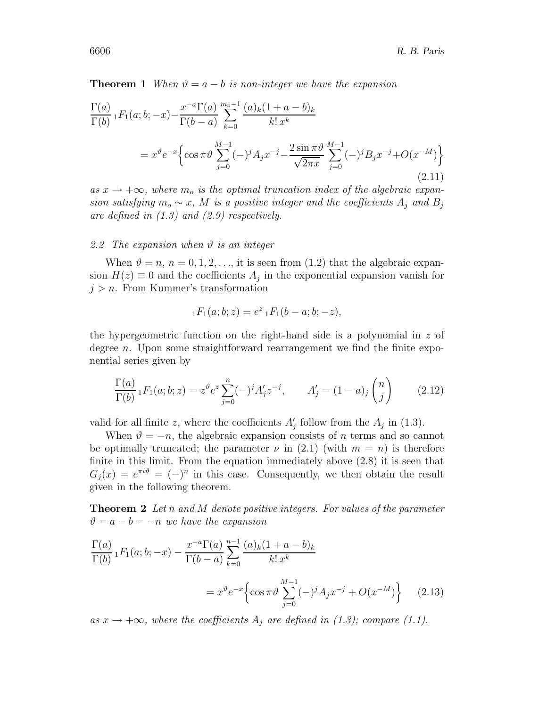**Theorem 1** When  $\vartheta = a - b$  is non-integer we have the expansion

$$
\frac{\Gamma(a)}{\Gamma(b)} {}_1F_1(a;b;-x) - \frac{x^{-a}\Gamma(a)}{\Gamma(b-a)} \sum_{k=0}^{m_o-1} \frac{(a)_k(1+a-b)_k}{k!x^k}
$$
\n
$$
= x^{\vartheta} e^{-x} \left\{ \cos \pi \vartheta \sum_{j=0}^{M-1} (-)^j A_j x^{-j} - \frac{2 \sin \pi \vartheta}{\sqrt{2\pi x}} \sum_{j=0}^{M-1} (-)^j B_j x^{-j} + O(x^{-M}) \right\}
$$
\n(2.11)

as  $x \to +\infty$ , where  $m_o$  is the optimal truncation index of the algebraic expansion satisfying  $m_o \sim x$ , M is a positive integer and the coefficients  $A_i$  and  $B_j$ are defined in  $(1.3)$  and  $(2.9)$  respectively.

## 2.2 The expansion when  $\vartheta$  is an integer

When  $\vartheta = n, n = 0, 1, 2, \ldots$ , it is seen from (1.2) that the algebraic expansion  $H(z) \equiv 0$  and the coefficients  $A_j$  in the exponential expansion vanish for  $j>n$ . From Kummer's transformation

$$
{}_1F_1(a;b;z) = e^z {}_1F_1(b-a;b;-z),
$$

the hypergeometric function on the right-hand side is a polynomial in  $z$  of degree n. Upon some straightforward rearrangement we find the finite exponential series given by

$$
\frac{\Gamma(a)}{\Gamma(b)} {}_1F_1(a;b;z) = z^{\vartheta} e^z \sum_{j=0}^n (-)^j A'_j z^{-j}, \qquad A'_j = (1-a)_j \binom{n}{j} \qquad (2.12)
$$

valid for all finite z, where the coefficients  $A'_{j}$  follow from the  $A_{j}$  in (1.3).

When  $\vartheta = -n$ , the algebraic expansion consists of n terms and so cannot be optimally truncated; the parameter  $\nu$  in (2.1) (with  $m = n$ ) is therefore finite in this limit. From the equation immediately above (2.8) it is seen that  $G_i(x) = e^{\pi i \vartheta} = (-)^n$  in this case. Consequently, we then obtain the result given in the following theorem.

**Theorem 2** Let n and M denote positive integers. For values of the parameter  $\vartheta = a - b = -n$  we have the expansion

$$
\frac{\Gamma(a)}{\Gamma(b)} {}_1F_1(a;b;-x) - \frac{x^{-a}\Gamma(a)}{\Gamma(b-a)} \sum_{k=0}^{n-1} \frac{(a)_k(1+a-b)_k}{k! x^k}
$$

$$
= x^{\vartheta} e^{-x} \left\{ \cos \pi \vartheta \sum_{j=0}^{M-1} (-)^j A_j x^{-j} + O(x^{-M}) \right\} \tag{2.13}
$$

as  $x \to +\infty$ , where the coefficients  $A_i$  are defined in (1.3); compare (1.1).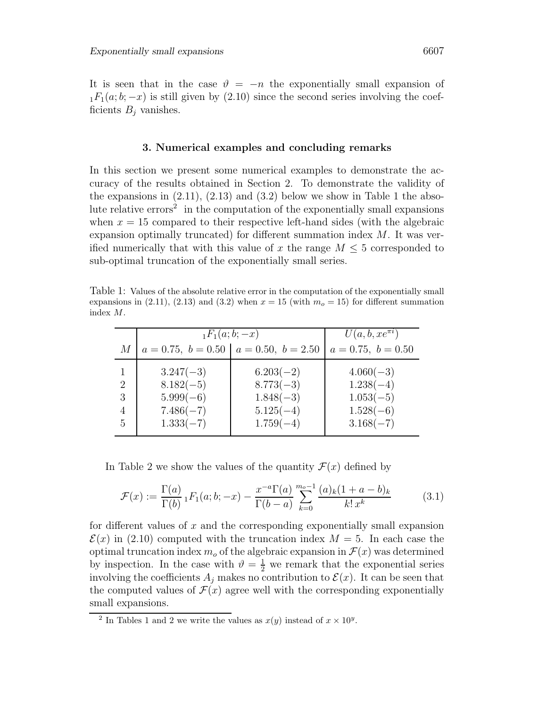It is seen that in the case  $\vartheta = -n$  the exponentially small expansion of  $_1F_1(a; b; -x)$  is still given by (2.10) since the second series involving the coefficients  $B_i$  vanishes.

## **3. Numerical examples and concluding remarks**

In this section we present some numerical examples to demonstrate the accuracy of the results obtained in Section 2. To demonstrate the validity of the expansions in  $(2.11)$ ,  $(2.13)$  and  $(3.2)$  below we show in Table 1 the absolute relative errors<sup>2</sup> in the computation of the exponentially small expansions when  $x = 15$  compared to their respective left-hand sides (with the algebraic expansion optimally truncated) for different summation index  $M$ . It was verified numerically that with this value of x the range  $M \leq 5$  corresponded to sub-optimal truncation of the exponentially small series.

Table 1: Values of the absolute relative error in the computation of the exponentially small expansions in  $(2.11)$ ,  $(2.13)$  and  $(3.2)$  when  $x = 15$  (with  $m<sub>o</sub> = 15$ ) for different summation index M.

|                             | $_1F_1(a;b;-x)$ |                                           | $U(a, b, xe^{\pi i})$ |
|-----------------------------|-----------------|-------------------------------------------|-----------------------|
| М                           |                 | $a = 0.75, b = 0.50   a = 0.50, b = 2.50$ | $a = 0.75, b = 0.50$  |
|                             | $3.247(-3)$     | $6.203(-2)$                               | $4.060(-3)$           |
| $\mathcal{D}_{\mathcal{L}}$ | $8.182(-5)$     | $8.773(-3)$                               | $1.238(-4)$           |
| 3                           | $5.999(-6)$     | $1.848(-3)$                               | $1.053(-5)$           |
|                             | $7.486(-7)$     | $5.125(-4)$                               | $1.528(-6)$           |
| 5                           | $1.333(-7)$     | $1.759(-4)$                               | $3.168(-7)$           |

In Table 2 we show the values of the quantity  $\mathcal{F}(x)$  defined by

$$
\mathcal{F}(x) := \frac{\Gamma(a)}{\Gamma(b)} \, {}_1F_1(a;b;-x) - \frac{x^{-a}\Gamma(a)}{\Gamma(b-a)} \sum_{k=0}^{m_o-1} \frac{(a)_k(1+a-b)_k}{k!\,x^k} \tag{3.1}
$$

for different values of  $x$  and the corresponding exponentially small expansion  $\mathcal{E}(x)$  in (2.10) computed with the truncation index  $M = 5$ . In each case the optimal truncation index  $m<sub>o</sub>$  of the algebraic expansion in  $\mathcal{F}(x)$  was determined by inspection. In the case with  $\vartheta = \frac{1}{2}$  we remark that the exponential series involving the coefficients  $A_i$  makes no contribution to  $\mathcal{E}(x)$ . It can be seen that the computed values of  $\mathcal{F}(x)$  agree well with the corresponding exponentially small expansions.

<sup>&</sup>lt;sup>2</sup> In Tables 1 and 2 we write the values as  $x(y)$  instead of  $x \times 10^y$ .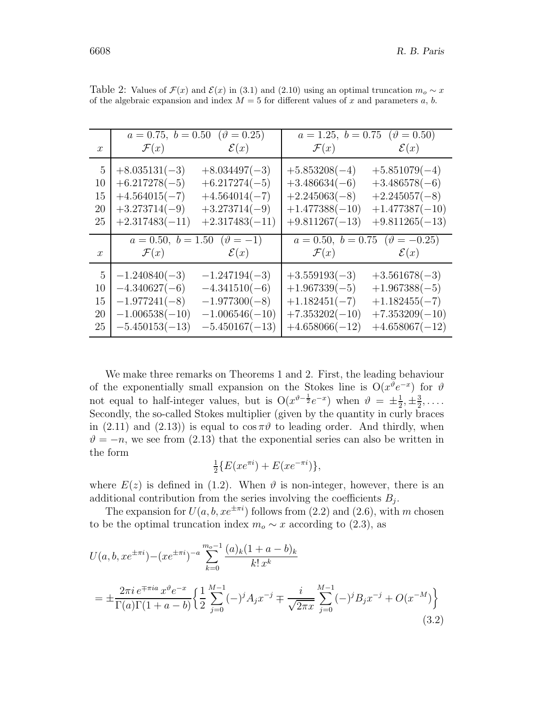|                  | $a = 0.75, b = 0.50 \ (\theta = 0.25)$ |                                   | $a = 1.25, b = 0.75 \ (\theta = 0.50)$  |                  |
|------------------|----------------------------------------|-----------------------------------|-----------------------------------------|------------------|
| $\boldsymbol{x}$ |                                        | $\mathcal{F}(x)$ $\mathcal{E}(x)$ | $\mathcal{F}(x)$ $\mathcal{E}(x)$       |                  |
| 5                | $+8.035131(-3)$                        | $+8.034497(-3)$                   | $+5.853208(-4)$                         | $+5.851079(-4)$  |
| 10               | $+6.217278(-5)$                        | $+6.217274(-5)$                   | $+3.486634(-6)$                         | $+3.486578(-6)$  |
| 15               | $+4.564015(-7)$                        | $+4.564014(-7)$                   | $+2.245063(-8)$                         | $+2.245057(-8)$  |
| 20               | $+3.273714(-9)$                        | $+3.273714(-9)$                   | $+1.477388(-10)$                        | $+1.477387(-10)$ |
| 25               | $+2.317483(-11)$                       | $+2.317483(-11)$                  | $+9.811267(-13)$                        | $+9.811265(-13)$ |
|                  | $a = 0.50, b = 1.50 \ (\theta = -1)$   |                                   | $a = 0.50, b = 0.75 \ (\theta = -0.25)$ |                  |
| $\boldsymbol{x}$ | $\mathcal{F}(x)$ $\mathcal{E}(x)$      |                                   | $\mathcal{F}(x)$ $\mathcal{E}(x)$       |                  |
| 5                | $-1.240840(-3)$                        | $-1.247194(-3)$                   | $+3.559193(-3)$                         | $+3.561678(-3)$  |
| 10               | $-4.340627(-6)$                        | $-4.341510(-6)$                   | $+1.967339(-5)$                         | $+1.967388(-5)$  |
| 15               | $-1.977241(-8)$                        | $-1.977300(-8)$                   | $+1.182451(-7)$                         | $+1.182455(-7)$  |
| 20               | $-1.006538(-10)$                       | $-1.006546(-10)$                  | $+7.353202(-10)$                        | $+7.353209(-10)$ |
|                  |                                        | $-5.450167(-13)$                  | $+4.658066(-12)$                        | $+4.658067(-12)$ |

Table 2: Values of  $\mathcal{F}(x)$  and  $\mathcal{E}(x)$  in (3.1) and (2.10) using an optimal truncation  $m_o \sim x$ of the algebraic expansion and index  $M = 5$  for different values of x and parameters a, b.

We make three remarks on Theorems 1 and 2. First, the leading behaviour of the exponentially small expansion on the Stokes line is  $O(x^{\check{\theta}}e^{-x})$  for  $\vartheta$ not equal to half-integer values, but is  $O(x^{\vartheta - \frac{1}{2}}e^{-x})$  when  $\vartheta = \pm \frac{1}{2}, \pm \frac{3}{2}, \ldots$ Secondly, the so-called Stokes multiplier (given by the quantity in curly braces in (2.11) and (2.13)) is equal to  $\cos \pi \vartheta$  to leading order. And thirdly, when  $\vartheta = -n$ , we see from (2.13) that the exponential series can also be written in the form

$$
\frac{1}{2}\left\{E(xe^{\pi i}) + E(xe^{-\pi i})\right\},\
$$

where  $E(z)$  is defined in (1.2). When  $\vartheta$  is non-integer, however, there is an additional contribution from the series involving the coefficients  $B_i$ .

The expansion for  $U(a, b, xe^{\pm \pi i})$  follows from (2.2) and (2.6), with m chosen to be the optimal truncation index  $m_o \sim x$  according to (2.3), as

$$
U(a, b, xe^{\pm \pi i}) - (xe^{\pm \pi i})^{-a} \sum_{k=0}^{m_o - 1} \frac{(a)_k (1 + a - b)_k}{k! x^k}
$$
  
= 
$$
\pm \frac{2\pi i e^{\mp \pi i a} x^{\vartheta} e^{-x}}{\Gamma(a)\Gamma(1 + a - b)} \left\{ \frac{1}{2} \sum_{j=0}^{M-1} (-)^j A_j x^{-j} \mp \frac{i}{\sqrt{2\pi x}} \sum_{j=0}^{M-1} (-)^j B_j x^{-j} + O(x^{-M}) \right\}
$$
(3.2)